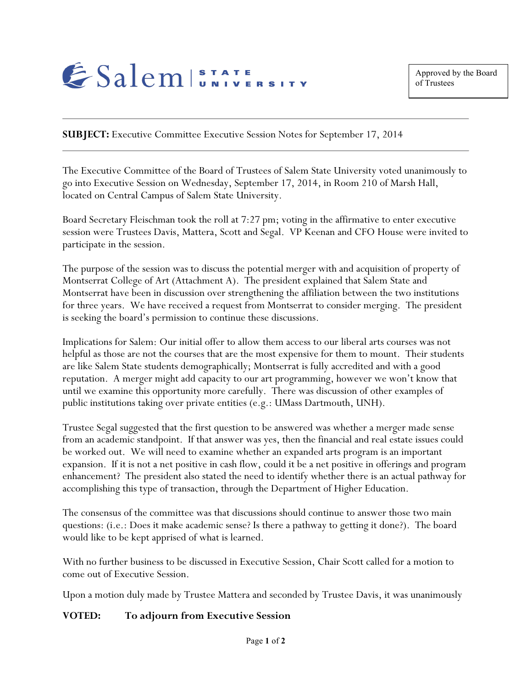

**SUBJECT:** Executive Committee Executive Session Notes for September 17, 2014

The Executive Committee of the Board of Trustees of Salem State University voted unanimously to go into Executive Session on Wednesday, September 17, 2014, in Room 210 of Marsh Hall, located on Central Campus of Salem State University.

Board Secretary Fleischman took the roll at 7:27 pm; voting in the affirmative to enter executive session were Trustees Davis, Mattera, Scott and Segal. VP Keenan and CFO House were invited to participate in the session.

The purpose of the session was to discuss the potential merger with and acquisition of property of Montserrat College of Art (Attachment A). The president explained that Salem State and Montserrat have been in discussion over strengthening the affiliation between the two institutions for three years. We have received a request from Montserrat to consider merging. The president is seeking the board's permission to continue these discussions.

Implications for Salem: Our initial offer to allow them access to our liberal arts courses was not helpful as those are not the courses that are the most expensive for them to mount. Their students are like Salem State students demographically; Montserrat is fully accredited and with a good reputation. A merger might add capacity to our art programming, however we won't know that until we examine this opportunity more carefully. There was discussion of other examples of public institutions taking over private entities (e.g.: UMass Dartmouth, UNH).

Trustee Segal suggested that the first question to be answered was whether a merger made sense from an academic standpoint. If that answer was yes, then the financial and real estate issues could be worked out. We will need to examine whether an expanded arts program is an important expansion. If it is not a net positive in cash flow, could it be a net positive in offerings and program enhancement? The president also stated the need to identify whether there is an actual pathway for accomplishing this type of transaction, through the Department of Higher Education.

The consensus of the committee was that discussions should continue to answer those two main questions: (i.e.: Does it make academic sense? Is there a pathway to getting it done?). The board would like to be kept apprised of what is learned.

With no further business to be discussed in Executive Session, Chair Scott called for a motion to come out of Executive Session.

Upon a motion duly made by Trustee Mattera and seconded by Trustee Davis, it was unanimously

## **VOTED: To adjourn from Executive Session**